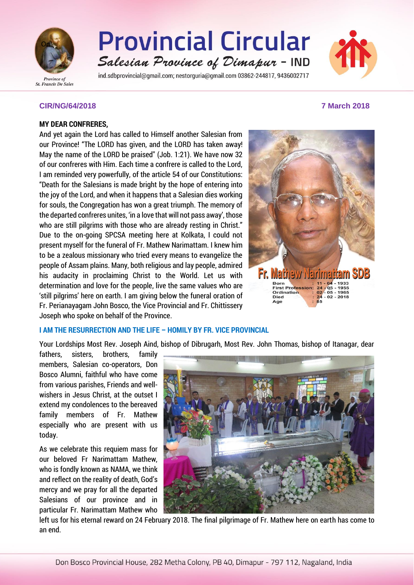

# **Provincial Circular** Salesian Province of Dimapur - IND

ind.sdbprovincial@gmail.com; nestorguria@gmail.com 03862-244817, 9436002717



#### **CIR/NG/64/2018 7 March 2018**

#### **MY DEAR CONFRERES,**

And yet again the Lord has called to Himself another Salesian from our Province! "The LORD has given, and the LORD has taken away! May the name of the LORD be praised" (Job. 1:21). We have now 32 of our confreres with Him. Each time a confrere is called to the Lord, I am reminded very powerfully, of the article 54 of our Constitutions: "Death for the Salesians is made bright by the hope of entering into the joy of the Lord, and when it happens that a Salesian dies working for souls, the Congregation has won a great triumph. The memory of the departed confreres unites, 'in a love that will not pass away', those who are still pilgrims with those who are already resting in Christ." Due to the on-going SPCSA meeting here at Kolkata, I could not present myself for the funeral of Fr. Mathew Narimattam. I knew him to be a zealous missionary who tried every means to evangelize the people of Assam plains. Many, both religious and lay people, admired his audacity in proclaiming Christ to the World. Let us with determination and love for the people, live the same values who are 'still pilgrims' here on earth. I am giving below the funeral oration of Fr. Perianayagam John Bosco, the Vice Provincial and Fr. Chittissery Joseph who spoke on behalf of the Province.



# **I AM THE RESURRECTION AND THE LIFE – HOMILY BY FR. VICE PROVINCIAL**

Your Lordships Most Rev. Joseph Aind, bishop of Dibrugarh, Most Rev. John Thomas, bishop of Itanagar, dear

fathers, sisters, brothers, family members, Salesian co-operators, Don Bosco Alumni, faithful who have come from various parishes, Friends and wellwishers in Jesus Christ, at the outset I extend my condolences to the bereaved family members of Fr. Mathew especially who are present with us today.

As we celebrate this requiem mass for our beloved Fr Narimattam Mathew, who is fondly known as NAMA, we think and reflect on the reality of death, God's mercy and we pray for all the departed Salesians of our province and in particular Fr. Narimattam Mathew who



left us for his eternal reward on 24 February 2018. The final pilgrimage of Fr. Mathew here on earth has come to an end.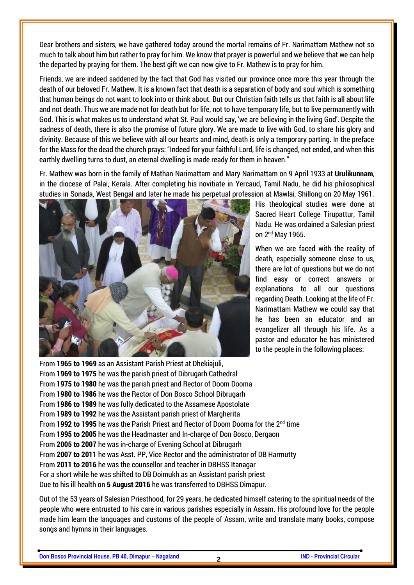Dear brothers and sisters, we have gathered today around the mortal remains of Fr. Narimattam Mathew not so much to talk about him but rather to pray for him. We know that prayer is powerful and we believe that we can help the departed by praying for them. The best gift we can now give to Fr. Mathew is to pray for him.

Friends, we are indeed saddened by the fact that God has visited our province once more this year through the death of our beloved Fr. Mathew. It is a known fact that death is a separation of body and soul which is something that human beings do not want to look into or think about. But our Christian faith tells us that faith is all about life and not death. Thus we are made not for death but for life, not to have temporary life, but to live permanently with God. This is what makes us to understand what St. Paul would say, 'we are believing in the living God'. Despite the sadness of death, there is also the promise of future glory. We are made to live with God, to share his glory and divinity. Because of this we believe with all our hearts and mind, death is only a temporary parting. In the preface for the Mass for the dead the church prays: "Indeed for your faithful Lord, life is changed, not ended, and when this earthly dwelling turns to dust, an eternal dwelling is made ready for them in heaven."

Fr. Mathew was born in the family of Mathan Narimattam and Mary Narimattam on 9 April 1933 at **Urulikunnam**, in the diocese of Palai, Kerala. After completing his novitiate in Yercaud, Tamil Nadu, he did his philosophical studies in Sonada, West Bengal and later he made his perpetual profession at Mawlai, Shillong on 20 May 1961.



His theological studies were done at Sacred Heart College Tirupattur, Tamil Nadu. He was ordained a Salesian priest on 2nd May 1965.

When we are faced with the reality of death, especially someone close to us, there are lot of questions but we do not find easy or correct answers or explanations to all our questions regarding Death. Looking at the life of Fr. Narimattam Mathew we could say that he has been an educator and an evangelizer all through his life. As a pastor and educator he has ministered to the people in the following places:

From **1965 to 1969** as an Assistant Parish Priest at Dhekiajuli, From **1969 to 1975** he was the parish priest of Dibrugarh Cathedral From **1975 to 1980** he was the parish priest and Rector of Doom Dooma From **1980 to 1986** he was the Rector of Don Bosco School Dibrugarh From **1986 to 1989** he was fully dedicated to the Assamese Apostolate From **1989 to 1992** he was the Assistant parish priest of Margherita From **1992 to 1995** he was the Parish Priest and Rector of Doom Dooma for the 2nd time From **1995 to 2005** he was the Headmaster and In-charge of Don Bosco, Dergaon From **2005 to 2007** he was in-charge of Evening School at Dibrugarh From **2007 to 2011** he was Asst. PP, Vice Rector and the administrator of DB Harmutty From **2011 to 2016** he was the counsellor and teacher in DBHSS Itanagar For a short while he was shifted to DB Doimukh as an Assistant parish priest Due to his ill health on **5 August 2016** he was transferred to DBHSS Dimapur.

Out of the 53 years of Salesian Priesthood, for 29 years, he dedicated himself catering to the spiritual needs of the people who were entrusted to his care in various parishes especially in Assam. His profound love for the people made him learn the languages and customs of the people of Assam, write and translate many books, compose songs and hymns in their languages.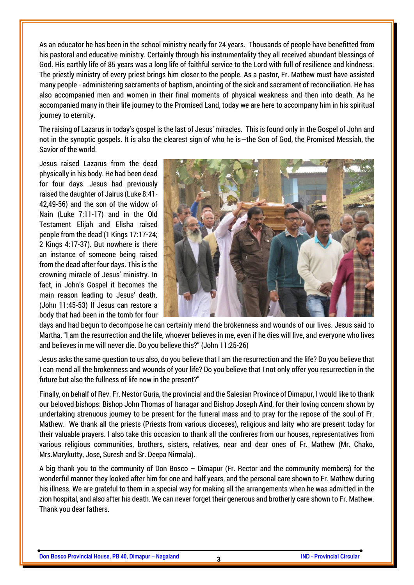As an educator he has been in the school ministry nearly for 24 years. Thousands of people have benefitted from his pastoral and educative ministry. Certainly through his instrumentality they all received abundant blessings of God. His earthly life of 85 years was a long life of faithful service to the Lord with full of resilience and kindness. The priestly ministry of every priest brings him closer to the people. As a pastor, Fr. Mathew must have assisted many people - administering sacraments of baptism, anointing of the sick and sacrament of reconciliation. He has also accompanied men and women in their final moments of physical weakness and then into death. As he accompanied many in their life journey to the Promised Land, today we are here to accompany him in his spiritual journey to eternity.

The raising of Lazarus in today's gospel is the last of Jesus' miracles. This is found only in the Gospel of John and not in the synoptic gospels. It is also the clearest sign of who he is—the Son of God, the Promised Messiah, the Savior of the world.

Jesus raised Lazarus from the dead physically in his body. He had been dead for four days. Jesus had previously raised the daughter of Jairus (Luke 8:41- 42,49-56) and the son of the widow of Nain (Luke 7:11-17) and in the Old Testament Elijah and Elisha raised people from the dead (1 Kings 17:17-24; 2 Kings 4:17-37). But nowhere is there an instance of someone being raised from the dead after four days. This is the crowning miracle of Jesus' ministry. In fact, in John's Gospel it becomes the main reason leading to Jesus' death. (John 11:45-53) If Jesus can restore a body that had been in the tomb for four



days and had begun to decompose he can certainly mend the brokenness and wounds of our lives. Jesus said to Martha, "I am the resurrection and the life, whoever believes in me, even if he dies will live, and everyone who lives and believes in me will never die. Do you believe this?" (John 11:25-26)

Jesus asks the same question to us also, do you believe that I am the resurrection and the life? Do you believe that I can mend all the brokenness and wounds of your life? Do you believe that I not only offer you resurrection in the future but also the fullness of life now in the present?"

Finally, on behalf of Rev. Fr. Nestor Guria, the provincial and the Salesian Province of Dimapur, I would like to thank our beloved bishops: Bishop John Thomas of Itanagar and Bishop Joseph Aind, for their loving concern shown by undertaking strenuous journey to be present for the funeral mass and to pray for the repose of the soul of Fr. Mathew. We thank all the priests (Priests from various dioceses), religious and laity who are present today for their valuable prayers. I also take this occasion to thank all the confreres from our houses, representatives from various religious communities, brothers, sisters, relatives, near and dear ones of Fr. Mathew (Mr. Chako, Mrs.Marykutty, Jose, Suresh and Sr. Deepa Nirmala).

A big thank you to the community of Don Bosco – Dimapur (Fr. Rector and the community members) for the wonderful manner they looked after him for one and half years, and the personal care shown to Fr. Mathew during his illness. We are grateful to them in a special way for making all the arrangements when he was admitted in the zion hospital, and also after his death. We can never forget their generous and brotherly care shown to Fr. Mathew. Thank you dear fathers.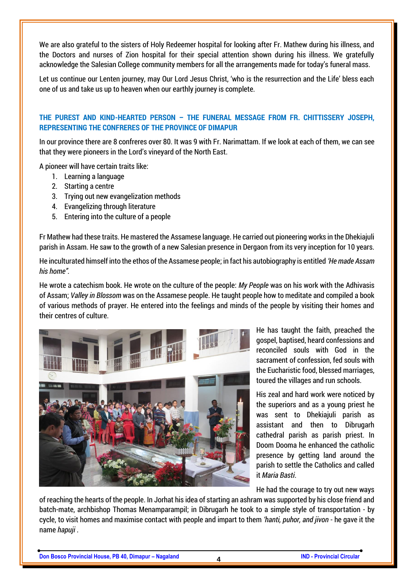We are also grateful to the sisters of Holy Redeemer hospital for looking after Fr. Mathew during his illness, and the Doctors and nurses of Zion hospital for their special attention shown during his illness. We gratefully acknowledge the Salesian College community members for all the arrangements made for today's funeral mass.

Let us continue our Lenten journey, may Our Lord Jesus Christ, 'who is the resurrection and the Life' bless each one of us and take us up to heaven when our earthly journey is complete.

# **THE PUREST AND KIND-HEARTED PERSON – THE FUNERAL MESSAGE FROM FR. CHITTISSERY JOSEPH, REPRESENTING THE CONFRERES OF THE PROVINCE OF DIMAPUR**

In our province there are 8 confreres over 80. It was 9 with Fr. Narimattam. If we look at each of them, we can see that they were pioneers in the Lord's vineyard of the North East.

A pioneer will have certain traits like:

- 1. Learning a language
- 2. Starting a centre
- 3. Trying out new evangelization methods
- 4. Evangelizing through literature
- 5. Entering into the culture of a people

Fr Mathew had these traits. He mastered the Assamese language. He carried out pioneering works in the Dhekiajuli parish in Assam. He saw to the growth of a new Salesian presence in Dergaon from its very inception for 10 years.

He inculturated himself into the ethos of the Assamese people; in fact his autobiography is entitled *'He made Assam his home".*

He wrote a catechism book. He wrote on the culture of the people: *My People* was on his work with the Adhivasis of Assam; *Valley in Blossom* was on the Assamese people. He taught people how to meditate and compiled a book of various methods of prayer. He entered into the feelings and minds of the people by visiting their homes and their centres of culture.



He has taught the faith, preached the gospel, baptised, heard confessions and reconciled souls with God in the sacrament of confession, fed souls with the Eucharistic food, blessed marriages, toured the villages and run schools.

His zeal and hard work were noticed by the superiors and as a young priest he was sent to Dhekiajuli parish as assistant and then to Dibrugarh cathedral parish as parish priest. In Doom Dooma he enhanced the catholic presence by getting land around the parish to settle the Catholics and called it *Maria Basti*.

He had the courage to try out new ways

of reaching the hearts of the people. In Jorhat his idea of starting an ashram was supported by his close friend and batch-mate, archbishop Thomas Menamparampil; in Dibrugarh he took to a simple style of transportation - by cycle, to visit homes and maximise contact with people and impart to them *'hanti, puhor, and jivon* - he gave it the name *hapuji* .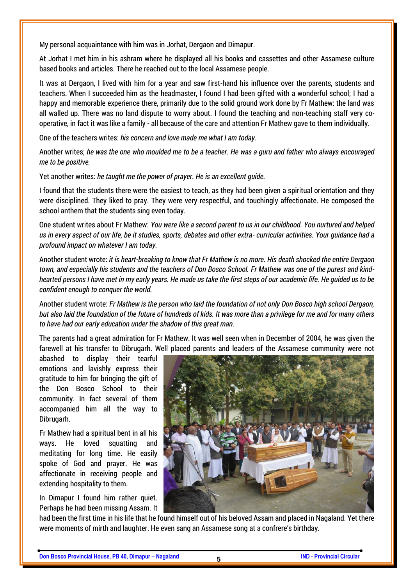My personal acquaintance with him was in Jorhat, Dergaon and Dimapur.

At Jorhat I met him in his ashram where he displayed all his books and cassettes and other Assamese culture based books and articles. There he reached out to the local Assamese people.

It was at Dergaon, I lived with him for a year and saw first-hand his influence over the parents, students and teachers. When I succeeded him as the headmaster, I found I had been gifted with a wonderful school; I had a happy and memorable experience there, primarily due to the solid ground work done by Fr Mathew: the land was all walled up. There was no land dispute to worry about. I found the teaching and non-teaching staff very cooperative, in fact it was like a family - all because of the care and attention Fr Mathew gave to them individually.

One of the teachers writes: *his concern and love made me what I am today.* 

Another writes; *he was the one who moulded me to be a teacher. He was a guru and father who always encouraged me to be positive.* 

Yet another writes: *he taught me the power of prayer. He is an excellent guide.* 

I found that the students there were the easiest to teach, as they had been given a spiritual orientation and they were disciplined. They liked to pray. They were very respectful, and touchingly affectionate. He composed the school anthem that the students sing even today.

One student writes about Fr Mathew: *You were like a second parent to us in our childhood. You nurtured and helped us in every aspect of our life, be it studies, sports, debates and other extra- curricular activities. Your guidance had a profound impact on whatever I am today.*

Another student wrote: *it is heart-breaking to know that Fr Mathew is no more. His death shocked the entire Dergaon town, and especially his students and the teachers of Don Bosco School. Fr Mathew was one of the purest and kindhearted persons I have met in my early years. He made us take the first steps of our academic life. He guided us to be confident enough to conquer the world.* 

Another student wrote: *Fr Mathew is the person who laid the foundation of not only Don Bosco high school Dergaon, but also laid the foundation of the future of hundreds of kids. It was more than a privilege for me and for many others to have had our early education under the shadow of this great man.*

The parents had a great admiration for Fr Mathew. It was well seen when in December of 2004, he was given the farewell at his transfer to Dibrugarh. Well placed parents and leaders of the Assamese community were not

abashed to display their tearful emotions and lavishly express their gratitude to him for bringing the gift of the Don Bosco School to their community. In fact several of them accompanied him all the way to Dibrugarh.

Fr Mathew had a spiritual bent in all his ways. He loved squatting and meditating for long time. He easily spoke of God and prayer. He was affectionate in receiving people and extending hospitality to them.

In Dimapur I found him rather quiet. Perhaps he had been missing Assam. It



had been the first time in his life that he found himself out of his beloved Assam and placed in Nagaland. Yet there were moments of mirth and laughter. He even sang an Assamese song at a confrere's birthday.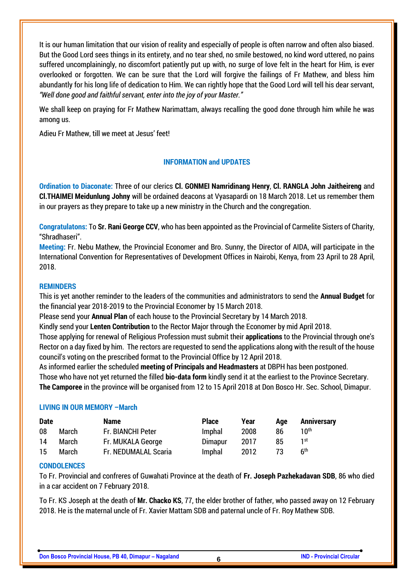It is our human limitation that our vision of reality and especially of people is often narrow and often also biased. But the Good Lord sees things in its entirety, and no tear shed, no smile bestowed, no kind word uttered, no pains suffered uncomplainingly, no discomfort patiently put up with, no surge of love felt in the heart for Him, is ever overlooked or forgotten. We can be sure that the Lord will forgive the failings of Fr Mathew, and bless him abundantly for his long life of dedication to Him. We can rightly hope that the Good Lord will tell his dear servant, *"Well done good and faithful servant, enter into the joy of your Master."*

We shall keep on praying for Fr Mathew Narimattam, always recalling the good done through him while he was among us.

Adieu Fr Mathew, till we meet at Jesus' feet!

# **INFORMATION and UPDATES**

**Ordination to Diaconate:** Three of our clerics **Cl. GONMEI Namridinang Henry**, **Cl. RANGLA John Jaitheireng** and **Cl.THAIMEI Meidunlung Johny** will be ordained deacons at Vyasapardi on 18 March 2018. Let us remember them in our prayers as they prepare to take up a new ministry in the Church and the congregation.

**Congratulatons:** To **Sr. Rani George CCV**, who has been appointed as the Provincial of Carmelite Sisters of Charity, "Shradhaseri".

**Meeting:** Fr. Nebu Mathew, the Provincial Economer and Bro. Sunny, the Director of AIDA, will participate in the International Convention for Representatives of Development Offices in Nairobi, Kenya, from 23 April to 28 April, 2018.

#### **REMINDERS**

This is yet another reminder to the leaders of the communities and administrators to send the **Annual Budget** for the financial year 2018-2019 to the Provincial Economer by 15 March 2018.

Please send your **Annual Plan** of each house to the Provincial Secretary by 14 March 2018.

Kindly send your **Lenten Contribution** to the Rector Major through the Economer by mid April 2018.

Those applying for renewal of Religious Profession must submit their **applications** to the Provincial through one's Rector on a day fixed by him. The rectors are requested to send the applications along with the result of the house council's voting on the prescribed format to the Provincial Office by 12 April 2018.

As informed earlier the scheduled **meeting of Principals and Headmasters** at DBPH has been postponed. Those who have not yet returned the filled **bio-data form** kindly send it at the earliest to the Province Secretary. **The Camporee** in the province will be organised from 12 to 15 April 2018 at Don Bosco Hr. Sec. School, Dimapur.

# **LIVING IN OUR MEMORY –March**

| <b>Date</b> |       | <b>Name</b>          | <b>Place</b>   | Year | Aae | <b>Anniversary</b> |
|-------------|-------|----------------------|----------------|------|-----|--------------------|
| 08          | March | Fr. BIANCHI Peter    | Imphal         | 2008 | 86  | 10 <sup>th</sup>   |
| 14          | March | Fr. MUKALA George    | <b>Dimapur</b> | 2017 | 85  | 1 st               |
| -15         | March | Fr. NEDUMALAL Scaria | Imphal         | 2012 |     | <b>Ath</b>         |

# **CONDOLENCES**

To Fr. Provincial and confreres of Guwahati Province at the death of **Fr. Joseph Pazhekadavan SDB**, 86 who died in a car accident on 7 February 2018.

To Fr. KS Joseph at the death of **Mr. Chacko KS**, 77, the elder brother of father, who passed away on 12 February 2018. He is the maternal uncle of Fr. Xavier Mattam SDB and paternal uncle of Fr. Roy Mathew SDB.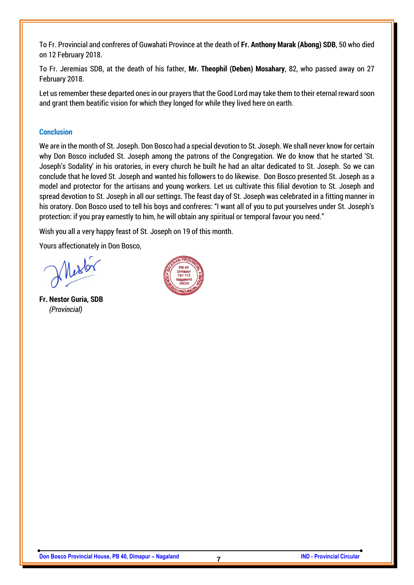To Fr. Provincial and confreres of Guwahati Province at the death of **Fr. Anthony Marak (Abong) SDB**, 50 who died on 12 February 2018.

To Fr. Jeremias SDB, at the death of his father, **Mr. Theophil (Deben) Mosahary**, 82, who passed away on 27 February 2018.

Let us remember these departed ones in our prayers that the Good Lord may take them to their eternal reward soon and grant them beatific vision for which they longed for while they lived here on earth.

#### **Conclusion**

We are in the month of St. Joseph. Don Bosco had a special devotion to St. Joseph. We shall never know for certain why Don Bosco included St. Joseph among the patrons of the Congregation. We do know that he started 'St. Joseph's Sodality' in his oratories, in every church he built he had an altar dedicated to St. Joseph. So we can conclude that he loved St. Joseph and wanted his followers to do likewise. Don Bosco presented St. Joseph as a model and protector for the artisans and young workers. Let us cultivate this filial devotion to St. Joseph and spread devotion to St. Joseph in all our settings. The feast day of St. Joseph was celebrated in a fitting manner in his oratory. Don Bosco used to tell his boys and confreres: "I want all of you to put yourselves under St. Joseph's protection: if you pray earnestly to him, he will obtain any spiritual or temporal favour you need."

Wish you all a very happy feast of St. Joseph on 19 of this month.

Yours affectionately in Don Bosco,

Mesto

**Fr. Nestor Guria, SDB**  *(Provincial)*